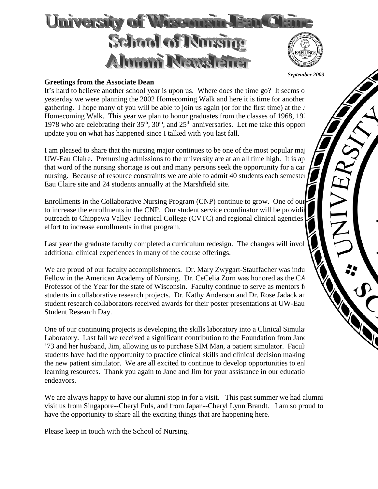

#### *September 2003*

## **Greetings from the Associate Dean**

It's hard to believe another school year is upon us. Where does the time go? It seems only use the time go? It seems only use the time go? It seems of the seems of the seems of the seems of the seems of the seems of the se yesterday we were planning the 2002 Homecoming Walk and here it is time for another gathering. I hope many of you will be able to join us again (or for the first time) at the  $\lambda$ Homecoming Walk. This year we plan to honor graduates from the classes of 1968, 19<sup>7</sup> 1978 who are celebrating their  $35<sup>th</sup>$ ,  $30<sup>th</sup>$ , and  $25<sup>th</sup>$  anniversaries. Let me take this opportunity update you on what has happened since I talked with you last fall.

I am pleased to share that the nursing major continues to be one of the most popular ma UW-Eau Claire. Prenursing admissions to the university are at an all time high. It is ap that word of the nursing shortage is out and many persons seek the opportunity for a car nursing. Because of resource constraints we are able to admit 40 students each semester Eau Claire site and 24 students annually at the Marshfield site.

Enrollments in the Collaborative Nursing Program (CNP) continue to grow. One of our to increase the enrollments in the CNP. Our student service coordinator will be providing outreach to Chippewa Valley Technical College (CVTC) and regional clinical agencies effort to increase enrollments in that program.

Last year the graduate faculty completed a curriculum redesign. The changes will invol additional clinical experiences in many of the course offerings.

We are proud of our faculty accomplishments. Dr. Mary Zwygart-Stauffacher was indu Fellow in the American Academy of Nursing. Dr. CeCelia Zorn was honored as the  $CA$ Professor of the Year for the state of Wisconsin. Faculty continue to serve as mentors for students in collaborative research projects. Dr. Kathy Anderson and Dr. Rose Jadack and student research collaborators received awards for their poster presentations at UW-Eau Student Research Day.

One of our continuing projects is developing the skills laboratory into a Clinical Simula Laboratory. Last fall we received a significant contribution to the Foundation from Jane '73 and her husband, Jim, allowing us to purchase SIM Man, a patient simulator. Facul students have had the opportunity to practice clinical skills and clinical decision making the new patient simulator. We are all excited to continue to develop opportunities to en learning resources. Thank you again to Jane and Jim for your assistance in our education endeavors.

We are always happy to have our alumni stop in for a visit. This past summer we had alumni visit us from Singapore--Cheryl Puls, and from Japan--Cheryl Lynn Brandt. I am so proud to have the opportunity to share all the exciting things that are happening here.

Please keep in touch with the School of Nursing.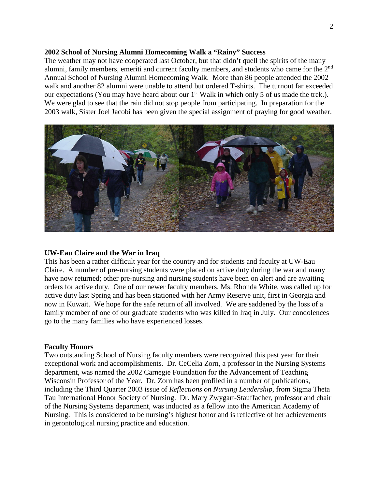### **2002 School of Nursing Alumni Homecoming Walk a "Rainy" Success**

The weather may not have cooperated last October, but that didn't quell the spirits of the many alumni, family members, emeriti and current faculty members, and students who came for the 2nd Annual School of Nursing Alumni Homecoming Walk. More than 86 people attended the 2002 walk and another 82 alumni were unable to attend but ordered T-shirts. The turnout far exceeded our expectations (You may have heard about our 1<sup>st</sup> Walk in which only 5 of us made the trek.). We were glad to see that the rain did not stop people from participating. In preparation for the 2003 walk, Sister Joel Jacobi has been given the special assignment of praying for good weather.



## **UW-Eau Claire and the War in Iraq**

This has been a rather difficult year for the country and for students and faculty at UW-Eau Claire. A number of pre-nursing students were placed on active duty during the war and many have now returned; other pre-nursing and nursing students have been on alert and are awaiting orders for active duty. One of our newer faculty members, Ms. Rhonda White, was called up for active duty last Spring and has been stationed with her Army Reserve unit, first in Georgia and now in Kuwait. We hope for the safe return of all involved. We are saddened by the loss of a family member of one of our graduate students who was killed in Iraq in July. Our condolences go to the many families who have experienced losses.

#### **Faculty Honors**

Two outstanding School of Nursing faculty members were recognized this past year for their exceptional work and accomplishments. Dr. CeCelia Zorn, a professor in the Nursing Systems department, was named the 2002 Carnegie Foundation for the Advancement of Teaching Wisconsin Professor of the Year. Dr. Zorn has been profiled in a number of publications, including the Third Quarter 2003 issue of *Reflections on Nursing Leadership,* from Sigma Theta Tau International Honor Society of Nursing. Dr. Mary Zwygart-Stauffacher, professor and chair of the Nursing Systems department, was inducted as a fellow into the American Academy of Nursing. This is considered to be nursing's highest honor and is reflective of her achievements in gerontological nursing practice and education.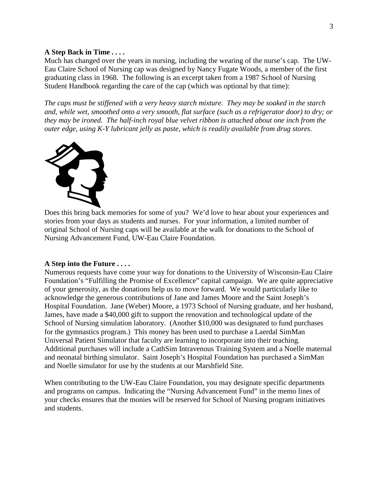### **A Step Back in Time . . . .**

Much has changed over the years in nursing, including the wearing of the nurse's cap. The UW-Eau Claire School of Nursing cap was designed by Nancy Fugate Woods, a member of the first graduating class in 1968. The following is an excerpt taken from a 1987 School of Nursing Student Handbook regarding the care of the cap (which was optional by that time):

*The caps must be stiffened with a very heavy starch mixture. They may be soaked in the starch and, while wet, smoothed onto a very smooth, flat surface (such as a refrigerator door) to dry; or they may be ironed. The half-inch royal blue velvet ribbon is attached about one inch from the outer edge, using K-Y lubricant jelly as paste, which is readily available from drug stores.*



Does this bring back memories for some of you? We'd love to hear about your experiences and stories from your days as students and nurses. For your information, a limited number of original School of Nursing caps will be available at the walk for donations to the School of Nursing Advancement Fund, UW-Eau Claire Foundation.

#### **A Step into the Future . . . .**

Numerous requests have come your way for donations to the University of Wisconsin-Eau Claire Foundation's "Fulfilling the Promise of Excellence" capital campaign. We are quite appreciative of your generosity, as the donations help us to move forward. We would particularly like to acknowledge the generous contributions of Jane and James Moore and the Saint Joseph's Hospital Foundation. Jane (Weber) Moore, a 1973 School of Nursing graduate, and her husband, James, have made a \$40,000 gift to support the renovation and technological update of the School of Nursing simulation laboratory. (Another \$10,000 was designated to fund purchases for the gymnastics program.) This money has been used to purchase a Laerdal SimMan Universal Patient Simulator that faculty are learning to incorporate into their teaching. Additional purchases will include a CathSim Intravenous Training System and a Noelle maternal and neonatal birthing simulator. Saint Joseph's Hospital Foundation has purchased a SimMan and Noelle simulator for use by the students at our Marshfield Site.

When contributing to the UW-Eau Claire Foundation, you may designate specific departments and programs on campus. Indicating the "Nursing Advancement Fund" in the memo lines of your checks ensures that the monies will be reserved for School of Nursing program initiatives and students.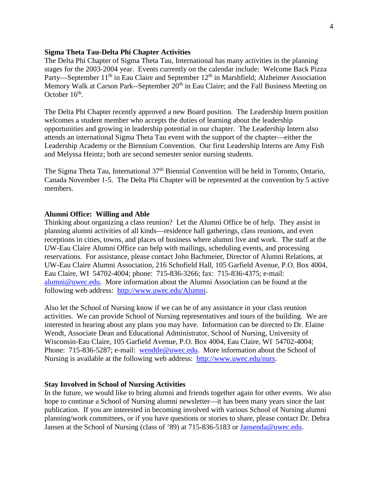#### **Sigma Theta Tau-Delta Phi Chapter Activities**

The Delta Phi Chapter of Sigma Theta Tau, International has many activities in the planning stages for the 2003-2004 year. Events currently on the calendar include: Welcome Back Pizza Party—September  $11<sup>th</sup>$  in Eau Claire and September  $12<sup>th</sup>$  in Marshfield; Alzheimer Association Memory Walk at Carson Park--September 20<sup>th</sup> in Eau Claire; and the Fall Business Meeting on October  $16<sup>th</sup>$ .

The Delta Phi Chapter recently approved a new Board position. The Leadership Intern position welcomes a student member who accepts the duties of learning about the leadership opportunities and growing in leadership potential in our chapter. The Leadership Intern also attends an international Sigma Theta Tau event with the support of the chapter—either the Leadership Academy or the Biennium Convention. Our first Leadership Interns are Amy Fish and Melyssa Heintz; both are second semester senior nursing students.

The Sigma Theta Tau, International 37th Biennial Convention will be held in Toronto, Ontario, Canada November 1-5. The Delta Phi Chapter will be represented at the convention by 5 active members.

### **Alumni Office: Willing and Able**

Thinking about organizing a class reunion? Let the Alumni Office be of help. They assist in planning alumni activities of all kinds—residence hall gatherings, class reunions, and even receptions in cities, towns, and places of business where alumni live and work. The staff at the UW-Eau Claire Alumni Office can help with mailings, scheduling events, and processing reservations. For assistance, please contact John Bachmeier, Director of Alumni Relations, at UW-Eau Claire Alumni Association, 216 Schofield Hall, 105 Garfield Avenue, P.O. Box 4004, Eau Claire, WI 54702-4004; phone: 715-836-3266; fax: 715-836-4375; e-mail: [alumni@uwec.edu.](mailto:alumni@uwec.edu) More information about the Alumni Association can be found at the following web address: [http://www.uwec.edu/Alumni.](http://www.uwec.edu/Alumni)

Also let the School of Nursing know if we can be of any assistance in your class reunion activities. We can provide School of Nursing representatives and tours of the building. We are interested in hearing about any plans you may have. Information can be directed to Dr. Elaine Wendt, Associate Dean and Educational Administrator, School of Nursing, University of Wisconsin-Eau Claire, 105 Garfield Avenue, P.O. Box 4004, Eau Claire, WI 54702-4004; Phone: 715-836-5287; e-mail: [wendtle@uwec.edu.](mailto:wendtle@uwec.edu) More information about the School of Nursing is available at the following web address: [http://www.uwec.edu/nurs.](http://www.uwec.edu/nurs)

#### **Stay Involved in School of Nursing Activities**

In the future, we would like to bring alumni and friends together again for other events. We also hope to continue a School of Nursing alumni newsletter—it has been many years since the last publication. If you are interested in becoming involved with various School of Nursing alumni planning/work committees, or if you have questions or stories to share, please contact Dr. Debra Jansen at the School of Nursing (class of '89) at 715-836-5183 or [Jansenda@uwec.edu.](mailto:Jansenda@uwec.edu)